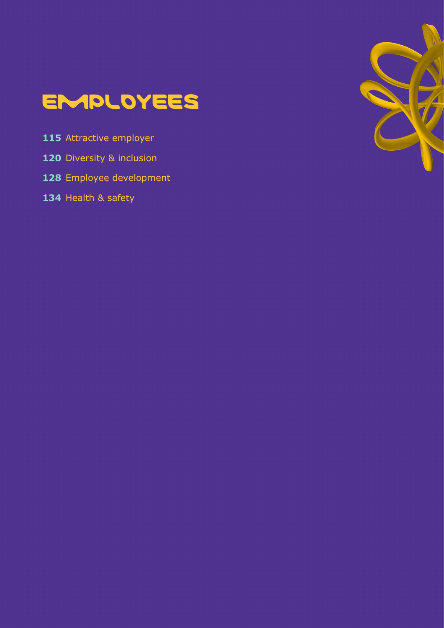

- [Attractive employer](#page-114-0)
- [Diversity & inclusion](#page-119-0)
- [Employee development](#page-127-0)
- [Health & safety](#page-133-0)

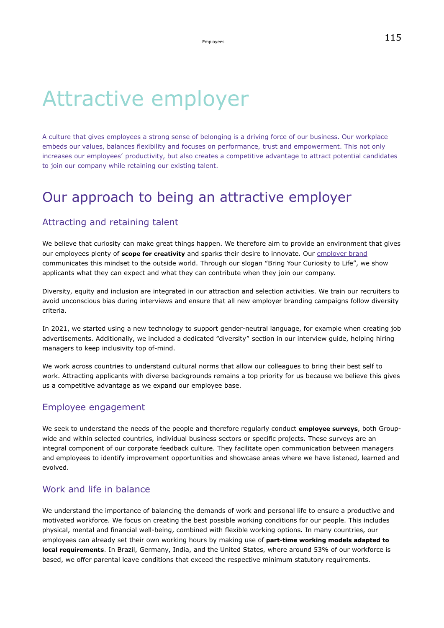# Attractive employer

A culture that gives employees a strong sense of belonging is a driving force of our business. Our workplace embeds our values, balances flexibility and focuses on performance, trust and empowerment. This not only increases our employees' productivity, but also creates a competitive advantage to attract potential candidates to join our company while retaining our existing talent.

### Our approach to being an attractive employer

#### Attracting and retaining talent

We believe that curiosity can make great things happen. We therefore aim to provide an environment that gives our employees plenty of **scope for creativity** and sparks their desire to innovate. Our [employer brand](https://www.emdgroup.com/en/careers/why-work-with-us.html) communicates this mindset to the outside world. Through our slogan "Bring Your Curiosity to Life", we show applicants what they can expect and what they can contribute when they join our company.

Diversity, equity and inclusion are integrated in our attraction and selection activities. We train our recruiters to avoid unconscious bias during interviews and ensure that all new employer branding campaigns follow diversity criteria.

In 2021, we started using a new technology to support gender-neutral language, for example when creating job advertisements. Additionally, we included a dedicated "diversity" section in our interview guide, helping hiring managers to keep inclusivity top of-mind.

We work across countries to understand cultural norms that allow our colleagues to bring their best self to work. Attracting applicants with diverse backgrounds remains a top priority for us because we believe this gives us a competitive advantage as we expand our employee base.

#### Employee engagement

We seek to understand the needs of the people and therefore regularly conduct **employee surveys**, both Groupwide and within selected countries, individual business sectors or specific projects. These surveys are an integral component of our corporate feedback culture. They facilitate open communication between managers and employees to identify improvement opportunities and showcase areas where we have listened, learned and evolved.

#### Work and life in balance

We understand the importance of balancing the demands of work and personal life to ensure a productive and motivated workforce. We focus on creating the best possible working conditions for our people. This includes physical, mental and financial well-being, combined with flexible working options. In many countries, our employees can already set their own working hours by making use of **part-time working models adapted to local requirements**. In Brazil, Germany, India, and the United States, where around 53% of our workforce is based, we offer parental leave conditions that exceed the respective minimum statutory requirements.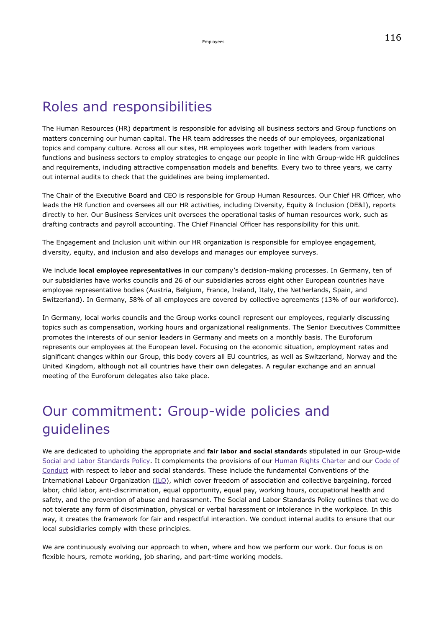### Roles and responsibilities

The Human Resources (HR) department is responsible for advising all business sectors and Group functions on matters concerning our human capital. The HR team addresses the needs of our employees, organizational topics and company culture. Across all our sites, HR employees work together with leaders from various functions and business sectors to employ strategies to engage our people in line with Group-wide HR guidelines and requirements, including attractive compensation models and benefits. Every two to three years, we carry out internal audits to check that the guidelines are being implemented.

The Chair of the Executive Board and CEO is responsible for Group Human Resources. Our Chief HR Officer, who leads the HR function and oversees all our HR activities, including Diversity, Equity & Inclusion (DE&I), reports directly to her. Our Business Services unit oversees the operational tasks of human resources work, such as drafting contracts and payroll accounting. The Chief Financial Officer has responsibility for this unit.

The Engagement and Inclusion unit within our HR organization is responsible for employee engagement, diversity, equity, and inclusion and also develops and manages our employee surveys.

We include **local employee representatives** in our company's decision-making processes. In Germany, ten of our subsidiaries have works councils and 26 of our subsidiaries across eight other European countries have employee representative bodies (Austria, Belgium, France, Ireland, Italy, the Netherlands, Spain, and Switzerland). In Germany, 58% of all employees are covered by collective agreements (13% of our workforce).

In Germany, local works councils and the Group works council represent our employees, regularly discussing topics such as compensation, working hours and organizational realignments. The Senior Executives Committee promotes the interests of our senior leaders in Germany and meets on a monthly basis. The Euroforum represents our employees at the European level. Focusing on the economic situation, employment rates and significant changes within our Group, this body covers all EU countries, as well as Switzerland, Norway and the United Kingdom, although not all countries have their own delegates. A regular exchange and an annual meeting of the Euroforum delegates also take place.

### Our commitment: Group-wide policies and guidelines

We are dedicated to upholding the appropriate and **fair labor and social standard**s stipulated in our Group-wide [Social and Labor Standards Policy](https://www.emdgroup.com/content/dam/web/corporate/non-images/company/responsibility/us/regulations-and-guidelines/Social-and-Labor-Standards-Policy-Website-US.pdf). It complements the provisions of our [Human Rights Charter](https://www.emdgroup.com/content/dam/web/corporate/non-images/company/responsibility/us/Merck_KGaA_Darmstadt_Germany_Human_Rights_Charter.pdf) and our [Code of](https://www.emdgroup.com/content/dam/web/corporate/non-images/company/responsibility/us/regulations-and-guidelines/code-of-conduct.pdf) [Conduct](https://www.emdgroup.com/content/dam/web/corporate/non-images/company/responsibility/us/regulations-and-guidelines/code-of-conduct.pdf) with respect to labor and social standards. These include the fundamental Conventions of the International Labour Organization [\(ILO\)](https://www.ilo.org/global/standards/introduction-to-international-labour-standards/conventions-and-recommendations/lang--en/index.htm), which cover freedom of association and collective bargaining, forced labor, child labor, anti-discrimination, equal opportunity, equal pay, working hours, occupational health and safety, and the prevention of abuse and harassment. The Social and Labor Standards Policy outlines that we do not tolerate any form of discrimination, physical or verbal harassment or intolerance in the workplace. In this way, it creates the framework for fair and respectful interaction. We conduct internal audits to ensure that our local subsidiaries comply with these principles.

We are continuously evolving our approach to when, where and how we perform our work. Our focus is on flexible hours, remote working, job sharing, and part-time working models.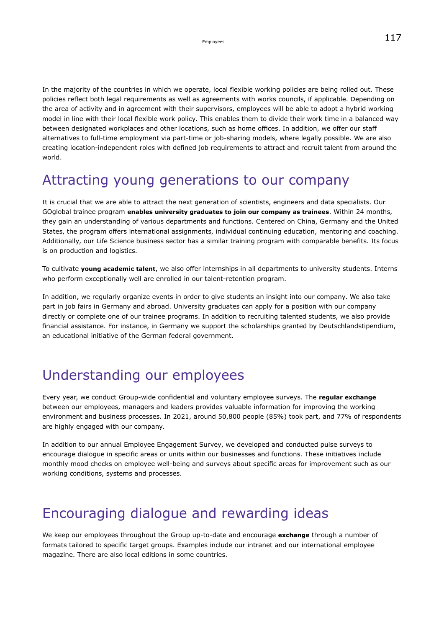In the majority of the countries in which we operate, local flexible working policies are being rolled out. These policies reflect both legal requirements as well as agreements with works councils, if applicable. Depending on the area of activity and in agreement with their supervisors, employees will be able to adopt a hybrid working model in line with their local flexible work policy. This enables them to divide their work time in a balanced way between designated workplaces and other locations, such as home offices. In addition, we offer our staff alternatives to full-time employment via part-time or job-sharing models, where legally possible. We are also creating location-independent roles with defined job requirements to attract and recruit talent from around the world.

### Attracting young generations to our company

It is crucial that we are able to attract the next generation of scientists, engineers and data specialists. Our GOglobal trainee program **enables university graduates to join our company as trainees**. Within 24 months, they gain an understanding of various departments and functions. Centered on China, Germany and the United States, the program offers international assignments, individual continuing education, mentoring and coaching. Additionally, our Life Science business sector has a similar training program with comparable benefits. Its focus is on production and logistics.

To cultivate **young academic talent**, we also offer internships in all departments to university students. Interns who perform exceptionally well are enrolled in our talent-retention program.

In addition, we regularly organize events in order to give students an insight into our company. We also take part in job fairs in Germany and abroad. University graduates can apply for a position with our company directly or complete one of our trainee programs. In addition to recruiting talented students, we also provide financial assistance. For instance, in Germany we support the scholarships granted by Deutschlandstipendium, an educational initiative of the German federal government.

### Understanding our employees

Every year, we conduct Group-wide confidential and voluntary employee surveys. The **regular exchange** between our employees, managers and leaders provides valuable information for improving the working environment and business processes. In 2021, around 50,800 people (85%) took part, and 77% of respondents are highly engaged with our company.

In addition to our annual Employee Engagement Survey, we developed and conducted pulse surveys to encourage dialogue in specific areas or units within our businesses and functions. These initiatives include monthly mood checks on employee well-being and surveys about specific areas for improvement such as our working conditions, systems and processes.

### Encouraging dialogue and rewarding ideas

We keep our employees throughout the Group up-to-date and encourage **exchange** through a number of formats tailored to specific target groups. Examples include our intranet and our international employee magazine. There are also local editions in some countries.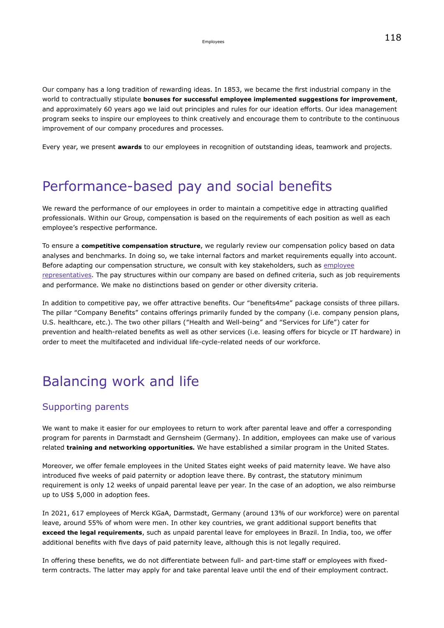Our company has a long tradition of rewarding ideas. In 1853, we became the first industrial company in the world to contractually stipulate **bonuses for successful employee implemented suggestions for improvement**, and approximately 60 years ago we laid out principles and rules for our ideation efforts. Our idea management program seeks to inspire our employees to think creatively and encourage them to contribute to the continuous improvement of our company procedures and processes.

Every year, we present **awards** to our employees in recognition of outstanding ideas, teamwork and projects.

### Performance-based pay and social benefits

We reward the performance of our employees in order to maintain a competitive edge in attracting qualified professionals. Within our Group, compensation is based on the requirements of each position as well as each employee's respective performance.

To ensure a **competitive compensation structure**, we regularly review our compensation policy based on data analyses and benchmarks. In doing so, we take internal factors and market requirements equally into account. Before adapting our compensation structure, we consult with key stakeholders, such as [employee](#page-115-0) [representatives.](#page-115-0) The pay structures within our company are based on defined criteria, such as job requirements and performance. We make no distinctions based on gender or other diversity criteria.

In addition to competitive pay, we offer attractive benefits. Our "benefits4me" package consists of three pillars. The pillar "Company Benefits" contains offerings primarily funded by the company (i.e. company pension plans, U.S. healthcare, etc.). The two other pillars ("Health and Well-being" and "Services for Life") cater for prevention and health-related benefits as well as other services (i.e. leasing offers for bicycle or IT hardware) in order to meet the multifaceted and individual life-cycle-related needs of our workforce.

### Balancing work and life

#### Supporting parents

We want to make it easier for our employees to return to work after parental leave and offer a corresponding program for parents in Darmstadt and Gernsheim (Germany). In addition, employees can make use of various related **training and networking opportunities.** We have established a similar program in the United States.

Moreover, we offer female employees in the United States eight weeks of paid maternity leave. We have also introduced five weeks of paid paternity or adoption leave there. By contrast, the statutory minimum requirement is only 12 weeks of unpaid parental leave per year. In the case of an adoption, we also reimburse up to US\$ 5,000 in adoption fees.

In 2021, 617 employees of Merck KGaA, Darmstadt, Germany (around 13% of our workforce) were on parental leave, around 55% of whom were men. In other key countries, we grant additional support benefits that **exceed the legal requirements**, such as unpaid parental leave for employees in Brazil. In India, too, we offer additional benefits with five days of paid paternity leave, although this is not legally required.

In offering these benefits, we do not differentiate between full- and part-time staff or employees with fixedterm contracts. The latter may apply for and take parental leave until the end of their employment contract.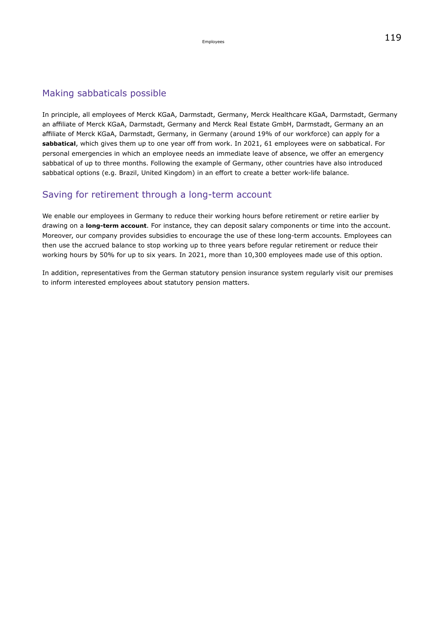#### Making sabbaticals possible

In principle, all employees of Merck KGaA, Darmstadt, Germany, Merck Healthcare KGaA, Darmstadt, Germany an affiliate of Merck KGaA, Darmstadt, Germany and Merck Real Estate GmbH, Darmstadt, Germany an an affiliate of Merck KGaA, Darmstadt, Germany, in Germany (around 19% of our workforce) can apply for a **sabbatical**, which gives them up to one year off from work. In 2021, 61 employees were on sabbatical. For personal emergencies in which an employee needs an immediate leave of absence, we offer an emergency sabbatical of up to three months. Following the example of Germany, other countries have also introduced sabbatical options (e.g. Brazil, United Kingdom) in an effort to create a better work-life balance.

#### Saving for retirement through a long-term account

We enable our employees in Germany to reduce their working hours before retirement or retire earlier by drawing on a **long-term account**. For instance, they can deposit salary components or time into the account. Moreover, our company provides subsidies to encourage the use of these long-term accounts. Employees can then use the accrued balance to stop working up to three years before regular retirement or reduce their working hours by 50% for up to six years. In 2021, more than 10,300 employees made use of this option.

In addition, representatives from the German statutory pension insurance system regularly visit our premises to inform interested employees about statutory pension matters.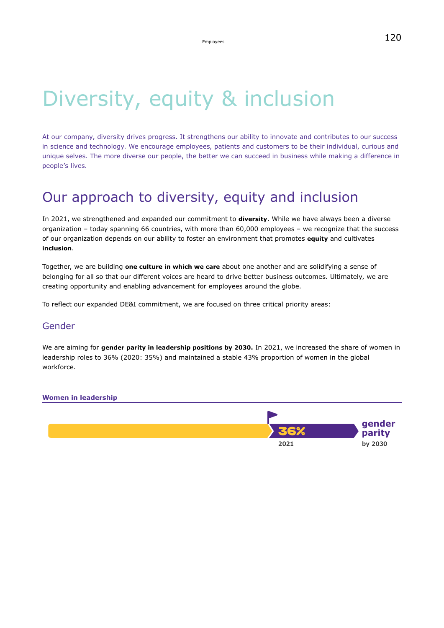## Diversity, equity & inclusion

At our company, diversity drives progress. It strengthens our ability to innovate and contributes to our success in science and technology. We encourage employees, patients and customers to be their individual, curious and unique selves. The more diverse our people, the better we can succeed in business while making a difference in people's lives.

### Our approach to diversity, equity and inclusion

In 2021, we strengthened and expanded our commitment to **diversity**. While we have always been a diverse organization – today spanning 66 countries, with more than 60,000 employees – we recognize that the success of our organization depends on our ability to foster an environment that promotes **equity** and cultivates **inclusion**.

Together, we are building **one culture in which we care** about one another and are solidifying a sense of belonging for all so that our different voices are heard to drive better business outcomes. Ultimately, we are creating opportunity and enabling advancement for employees around the globe.

To reflect our expanded DE&I commitment, we are focused on three critical priority areas:

#### Gender

We are aiming for **gender parity in leadership positions by 2030.** In 2021, we increased the share of women in leadership roles to 36% (2020: 35%) and maintained a stable 43% proportion of women in the global workforce.

#### **Women in leadership**

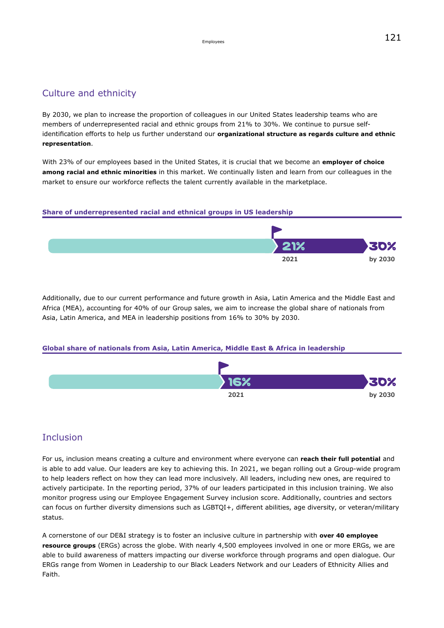#### Culture and ethnicity

By 2030, we plan to increase the proportion of colleagues in our United States leadership teams who are members of underrepresented racial and ethnic groups from 21% to 30%. We continue to pursue selfidentification efforts to help us further understand our **organizational structure as regards culture and ethnic representation**.

With 23% of our employees based in the United States, it is crucial that we become an **employer of choice among racial and ethnic minorities** in this market. We continually listen and learn from our colleagues in the market to ensure our workforce reflects the talent currently available in the marketplace.



Additionally, due to our current performance and future growth in Asia, Latin America and the Middle East and Africa (MEA), accounting for 40% of our Group sales, we aim to increase the global share of nationals from Asia, Latin America, and MEA in leadership positions from 16% to 30% by 2030.

#### **Global share of nationals from Asia, Latin America, Middle East & Africa in leadership**



#### Inclusion

For us, inclusion means creating a culture and environment where everyone can **reach their full potential** and is able to add value. Our leaders are key to achieving this. In 2021, we began rolling out a Group-wide program to help leaders reflect on how they can lead more inclusively. All leaders, including new ones, are required to actively participate. In the reporting period, 37% of our leaders participated in this inclusion training. We also monitor progress using our Employee Engagement Survey inclusion score. Additionally, countries and sectors can focus on further diversity dimensions such as LGBTQI+, different abilities, age diversity, or veteran/military status.

A cornerstone of our DE&I strategy is to foster an inclusive culture in partnership with **over 40 employee resource groups** (ERGs) across the globe. With nearly 4,500 employees involved in one or more ERGs, we are able to build awareness of matters impacting our diverse workforce through programs and open dialogue. Our ERGs range from Women in Leadership to our Black Leaders Network and our Leaders of Ethnicity Allies and Faith.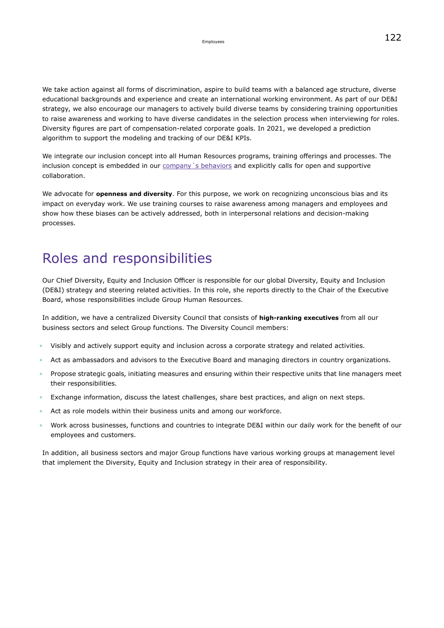We take action against all forms of discrimination, aspire to build teams with a balanced age structure, diverse educational backgrounds and experience and create an international working environment. As part of our DE&I strategy, we also encourage our managers to actively build diverse teams by considering training opportunities to raise awareness and working to have diverse candidates in the selection process when interviewing for roles. Diversity figures are part of compensation-related corporate goals. In 2021, we developed a prediction algorithm to support the modeling and tracking of our DE&I KPIs.

We integrate our inclusion concept into all Human Resources programs, training offerings and processes. The inclusion concept is embedded in our company's behaviors and explicitly calls for open and supportive collaboration.

We advocate for **openness and diversity**. For this purpose, we work on recognizing unconscious bias and its impact on everyday work. We use training courses to raise awareness among managers and employees and show how these biases can be actively addressed, both in interpersonal relations and decision-making processes.

### Roles and responsibilities

Our Chief Diversity, Equity and Inclusion Officer is responsible for our global Diversity, Equity and Inclusion (DE&I) strategy and steering related activities. In this role, she reports directly to the Chair of the Executive Board, whose responsibilities include Group Human Resources.

In addition, we have a centralized Diversity Council that consists of **high-ranking executives** from all our business sectors and select Group functions. The Diversity Council members:

- Visibly and actively support equity and inclusion across a corporate strategy and related activities.
- Act as ambassadors and advisors to the Executive Board and managing directors in country organizations.
- Propose strategic goals, initiating measures and ensuring within their respective units that line managers meet their responsibilities.
- Exchange information, discuss the latest challenges, share best practices, and align on next steps.
- Act as role models within their business units and among our workforce.
- Work across businesses, functions and countries to integrate DE&I within our daily work for the benefit of our employees and customers.

In addition, all business sectors and major Group functions have various working groups at management level that implement the Diversity, Equity and Inclusion strategy in their area of responsibility.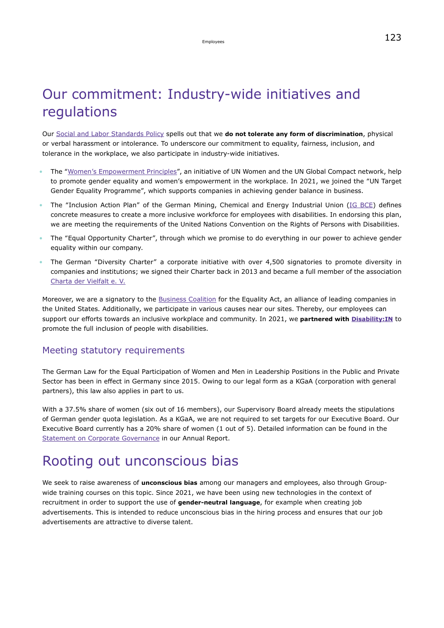### Our commitment: Industry-wide initiatives and regulations

Our [Social and Labor Standards Policy](https://www.emdgroup.com/content/dam/web/corporate/non-images/company/responsibility/us/regulations-and-guidelines/Social-and-Labor-Standards-Policy-Website-US.pdf) spells out that we **do not tolerate any form of discrimination**, physical or verbal harassment or intolerance. To underscore our commitment to equality, fairness, inclusion, and tolerance in the workplace, we also participate in industry-wide initiatives.

- The "[Women's Empowerment Principles](https://www.unglobalcompact.org/take-action/action/womens-principles)", an initiative of UN Women and the UN Global Compact network, help to promote gender equality and women's empowerment in the workplace. In 2021, we joined the "UN Target Gender Equality Programme", which supports companies in achieving gender balance in business.
- The "Inclusion Action Plan" of the German Mining, Chemical and Energy Industrial Union ([IG BCE](https://igbce.de/igbce)) defines concrete measures to create a more inclusive workforce for employees with disabilities. In endorsing this plan, we are meeting the requirements of the United Nations Convention on the Rights of Persons with Disabilities.
- The "Equal Opportunity Charter", through which we promise to do everything in our power to achieve gender equality within our company.
- The German "Diversity Charter" a corporate initiative with over 4,500 signatories to promote diversity in companies and institutions; we signed their Charter back in 2013 and became a full member of the association [Charta der Vielfalt e. V.](https://www.charta-der-vielfalt.de/en/diversity-charter-association/about-the-charta-der-vielfalt-association/)

Moreover, we are a signatory to the [Business Coalition](https://www.hrc.org/resources/business-coalition-for-equality) for the Equality Act, an alliance of leading companies in the United States. Additionally, we participate in various causes near our sites. Thereby, our employees can support our efforts towards an inclusive workplace and community. In 2021, we **partnered with [Disability:IN](https://disabilityin.org/)** to promote the full inclusion of people with disabilities.

#### Meeting statutory requirements

The German Law for the Equal Participation of Women and Men in Leadership Positions in the Public and Private Sector has been in effect in Germany since 2015. Owing to our legal form as a KGaA (corporation with general partners), this law also applies in part to us.

With a 37.5% share of women (six out of 16 members), our Supervisory Board already meets the stipulations of German gender quota legislation. As a KGaA, we are not required to set targets for our Executive Board. Our Executive Board currently has a 20% share of women (1 out of 5). Detailed information can be found in the [Statement on Corporate Governance](https://www.emdgroup.com/en/annualreport/2021/corporate-governance/statement-on-corporate-governance/promote-women-in-management-positions.html) in our Annual Report.

### Rooting out unconscious bias

We seek to raise awareness of **unconscious bias** among our managers and employees, also through Groupwide training courses on this topic. Since 2021, we have been using new technologies in the context of recruitment in order to support the use of **gender-neutral language**, for example when creating job advertisements. This is intended to reduce unconscious bias in the hiring process and ensures that our job advertisements are attractive to diverse talent.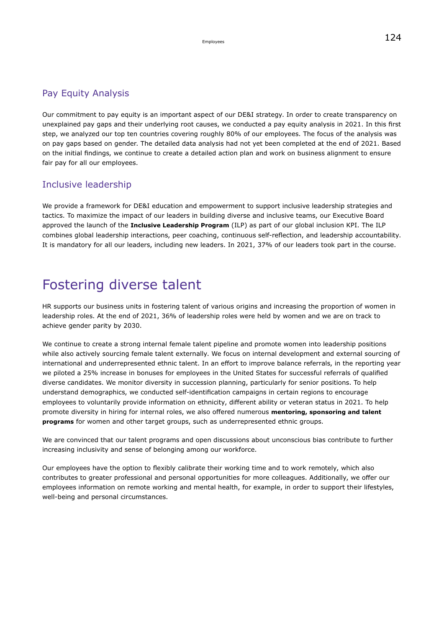#### Pay Equity Analysis

Our commitment to pay equity is an important aspect of our DE&I strategy. In order to create transparency on unexplained pay gaps and their underlying root causes, we conducted a pay equity analysis in 2021. In this first step, we analyzed our top ten countries covering roughly 80% of our employees. The focus of the analysis was on pay gaps based on gender. The detailed data analysis had not yet been completed at the end of 2021. Based on the initial findings, we continue to create a detailed action plan and work on business alignment to ensure fair pay for all our employees.

#### Inclusive leadership

We provide a framework for DE&I education and empowerment to support inclusive leadership strategies and tactics. To maximize the impact of our leaders in building diverse and inclusive teams, our Executive Board approved the launch of the **Inclusive Leadership Program** (ILP) as part of our global inclusion KPI. The ILP combines global leadership interactions, peer coaching, continuous self-reflection, and leadership accountability. It is mandatory for all our leaders, including new leaders. In 2021, 37% of our leaders took part in the course.

### Fostering diverse talent

HR supports our business units in fostering talent of various origins and increasing the proportion of women in leadership roles. At the end of 2021, 36% of leadership roles were held by women and we are on track to achieve gender parity by 2030.

We continue to create a strong internal female talent pipeline and promote women into leadership positions while also actively sourcing female talent externally. We focus on internal development and external sourcing of international and underrepresented ethnic talent. In an effort to improve balance referrals, in the reporting year we piloted a 25% increase in bonuses for employees in the United States for successful referrals of qualified diverse candidates. We monitor diversity in succession planning, particularly for senior positions. To help understand demographics, we conducted self-identification campaigns in certain regions to encourage employees to voluntarily provide information on ethnicity, different ability or veteran status in 2021. To help promote diversity in hiring for internal roles, we also offered numerous **mentoring, sponsoring and talent programs** for women and other target groups, such as underrepresented ethnic groups.

We are convinced that our talent programs and open discussions about unconscious bias contribute to further increasing inclusivity and sense of belonging among our workforce.

Our employees have the option to flexibly calibrate their working time and to work remotely, which also contributes to greater professional and personal opportunities for more colleagues. Additionally, we offer our employees information on remote working and mental health, for example, in order to support their lifestyles, well-being and personal circumstances.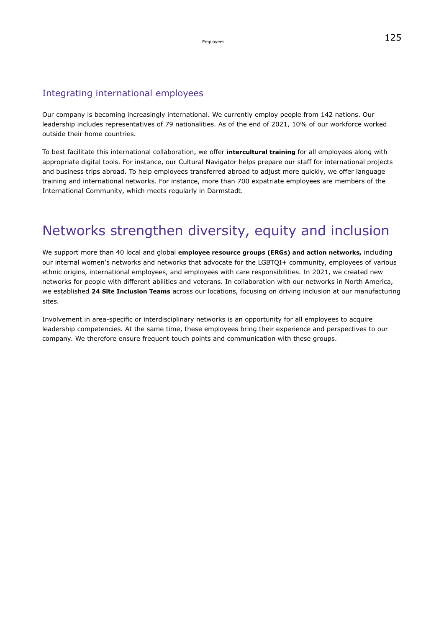#### Integrating international employees

Our company is becoming increasingly international. We currently employ people from 142 nations. Our leadership includes representatives of 79 nationalities. As of the end of 2021, 10% of our workforce worked outside their home countries.

To best facilitate this international collaboration, we offer **intercultural training** for all employees along with appropriate digital tools. For instance, our Cultural Navigator helps prepare our staff for international projects and business trips abroad. To help employees transferred abroad to adjust more quickly, we offer language training and international networks. For instance, more than 700 expatriate employees are members of the International Community, which meets regularly in Darmstadt.

### Networks strengthen diversity, equity and inclusion

We support more than 40 local and global **employee resource groups (ERGs) and action networks,** including our internal women's networks and networks that advocate for the LGBTQI+ community, employees of various ethnic origins, international employees, and employees with care responsibilities. In 2021, we created new networks for people with different abilities and veterans. In collaboration with our networks in North America, we established **24 Site Inclusion Teams** across our locations, focusing on driving inclusion at our manufacturing sites.

Involvement in area-specific or interdisciplinary networks is an opportunity for all employees to acquire leadership competencies. At the same time, these employees bring their experience and perspectives to our company. We therefore ensure frequent touch points and communication with these groups.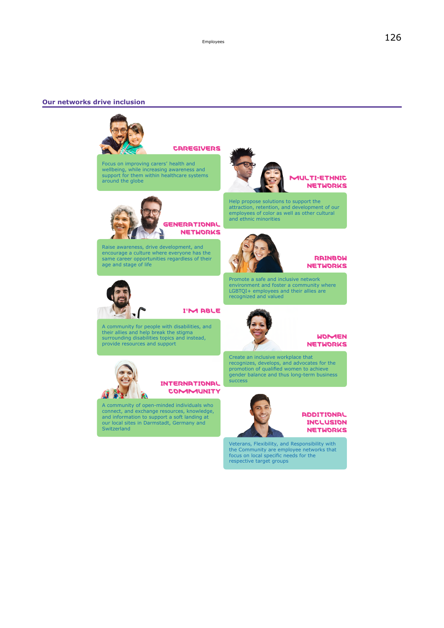#### **Our networks drive inclusion**



**CAREGIVERS** 

GENERATIONAL **NETWORKS** 

Focus on improving carers' health and wellbeing, while increasing awareness and support for them within healthcare systems around the globe



#### **AULTI-ETHNIC NETWORKS**

Help propose solutions to support the attraction, retention, and development of our employees of color as well as other cultural and ethnic minorities

Promote a safe and inclusive network environment and foster a community where LGBTQI+ employees and their allies are

Raise awareness, drive development, and encourage a culture where everyone has the same career opportunities regardless of their age and stage of life



**I'M ABLE** 

A community for people with disabilities, and their allies and help break the stigma surrounding disabilities topics and instead, provide resources and support



**INTERNATIONAL COMMUNITY** 

A community of open-minded individuals who connect, and exchange resources, knowledge, and information to support a soft landing at our local sites in Darmstadt, Germany and **Switzerland** 



recognized and valued

#### **WOMEN NETWORKS**

**RAINBOW NETWORKS** 

Create an inclusive workplace that recognizes, develops, and advocates for the promotion of qualified women to achieve gender balance and thus long-term business success





Veterans, Flexibility, and Responsibility with the Community are employee networks that focus on local specific needs for the respective target groups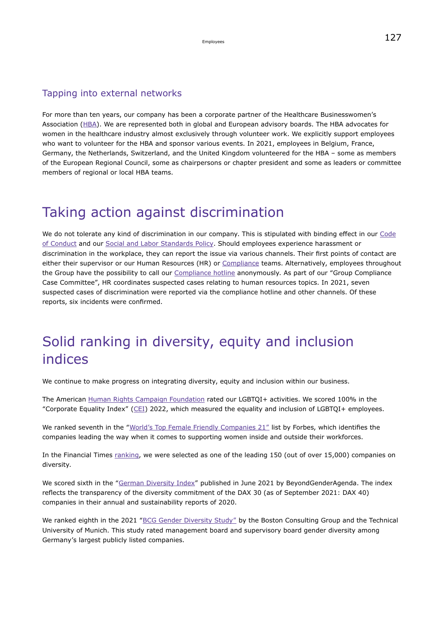#### Tapping into external networks

For more than ten years, our company has been a corporate partner of the Healthcare Businesswomen's Association [\(HBA](https://www.hbanet.org/)). We are represented both in global and European advisory boards. The HBA advocates for women in the healthcare industry almost exclusively through volunteer work. We explicitly support employees who want to volunteer for the HBA and sponsor various events. In 2021, employees in Belgium, France, Germany, the Netherlands, Switzerland, and the United Kingdom volunteered for the HBA – some as members of the European Regional Council, some as chairpersons or chapter president and some as leaders or committee members of regional or local HBA teams.

### Taking action against discrimination

We do not tolerate any kind of discrimination in our company. This is stipulated with binding effect in our [Code](https://www.emdgroup.com/content/dam/web/corporate/non-images/company/responsibility/us/regulations-and-guidelines/code-of-conduct.pdf) [of Conduct](https://www.emdgroup.com/content/dam/web/corporate/non-images/company/responsibility/us/regulations-and-guidelines/code-of-conduct.pdf) and our [Social and Labor Standards Policy](https://www.emdgroup.com/company/responsibility/en/regulations-and-guidelines/Social-and-Labor-Standards-Policy-Website.pdf). Should employees experience harassment or discrimination in the workplace, they can report the issue via various channels. Their first points of contact are either their supervisor or our Human Resources (HR) or [Compliance](#page-28-0) teams. Alternatively, employees throughout the Group have the possibility to call our [Compliance hotline](https://www.emdgroup.com/en/sustainability/products-and-businesses/compliance-and-ethics.html) anonymously. As part of our "Group Compliance Case Committee", HR coordinates suspected cases relating to human resources topics. In 2021, seven suspected cases of discrimination were reported via the compliance hotline and other channels. Of these reports, six incidents were confirmed.

### Solid ranking in diversity, equity and inclusion indices

We continue to make progress on integrating diversity, equity and inclusion within our business.

The American [Human Rights Campaign Foundation](https://www.hrc.org/) rated our LGBTQI+ activities. We scored 100% in the "Corporate Equality Index" ( $CEI$ ) 2022, which measured the equality and inclusion of LGBTQI+ employees.

We ranked seventh in the "[World's Top Female Friendly Companies 21"](https://www.forbes.com/female-friendly-companies/#3db138064ac9) list by Forbes, which identifies the companies leading the way when it comes to supporting women inside and outside their workforces.

In the Financial Times [ranking](https://www.ft.com/content/33d5efd6-0f1b-4d0d-b5eb-34aab642ad7e), we were selected as one of the leading 150 (out of over 15,000) companies on diversity.

We scored sixth in the ["German Diversity Index](https://beyondgenderagenda.com/en/german-diversity-index/)" published in June 2021 by BeyondGenderAgenda. The index reflects the transparency of the diversity commitment of the DAX 30 (as of September 2021: DAX 40) companies in their annual and sustainability reports of 2020.

We ranked eighth in the 2021 ["BCG Gender Diversity Study"](https://web-assets.bcg.com/7b/8b/850022a9438b974c7d92162d4420/bcg-gender-diversity-index-2021-key-insights.pdf) by the Boston Consulting Group and the Technical University of Munich. This study rated management board and supervisory board gender diversity among Germany's largest publicly listed companies.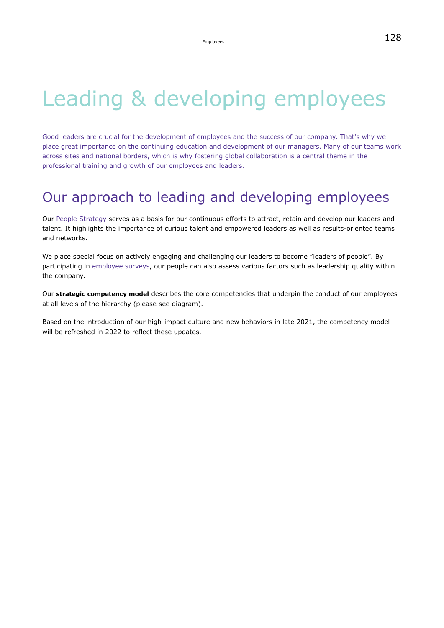## Leading & developing employees

Good leaders are crucial for the development of employees and the success of our company. That's why we place great importance on the continuing education and development of our managers. Many of our teams work across sites and national borders, which is why fostering global collaboration is a central theme in the professional training and growth of our employees and leaders.

### Our approach to leading and developing employees

Our [People Strategy](https://www.emdgroup.com/en/annualreport/2021/management-report/non-financial-statement/employee-related-matters/talent-management.html) serves as a basis for our continuous efforts to attract, retain and develop our leaders and talent. It highlights the importance of curious talent and empowered leaders as well as results-oriented teams and networks.

We place special focus on actively engaging and challenging our leaders to become "leaders of people". By participating in [employee surveys,](#page-114-1) our people can also assess various factors such as leadership quality within the company.

Our **strategic competency model** describes the core competencies that underpin the conduct of our employees at all levels of the hierarchy (please see diagram).

Based on the introduction of our high-impact culture and new behaviors in late 2021, the competency model will be refreshed in 2022 to reflect these updates.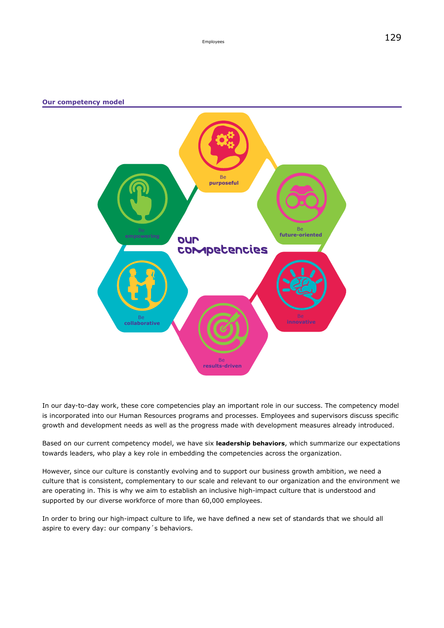#### **Our competency model**



In our day-to-day work, these core competencies play an important role in our success. The competency model is incorporated into our Human Resources programs and processes. Employees and supervisors discuss specific growth and development needs as well as the progress made with development measures already introduced.

Based on our current competency model, we have six **leadership behaviors**, which summarize our expectations towards leaders, who play a key role in embedding the competencies across the organization.

However, since our culture is constantly evolving and to support our business growth ambition, we need a culture that is consistent, complementary to our scale and relevant to our organization and the environment we are operating in. This is why we aim to establish an inclusive high-impact culture that is understood and supported by our diverse workforce of more than 60,000 employees.

In order to bring our high-impact culture to life, we have defined a new set of standards that we should all aspire to every day: our company´s behaviors.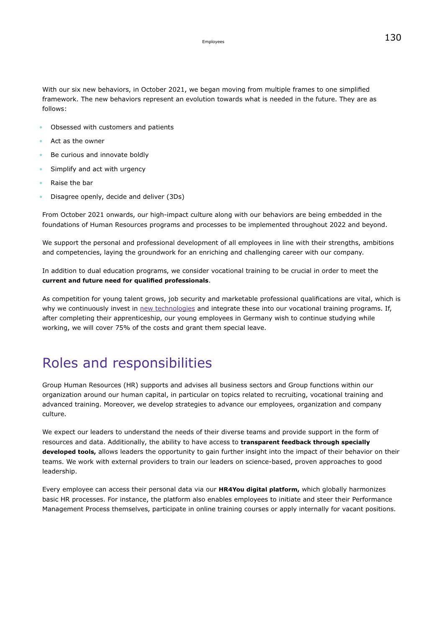With our six new behaviors, in October 2021, we began moving from multiple frames to one simplified framework. The new behaviors represent an evolution towards what is needed in the future. They are as follows:

- Obsessed with customers and patients
- Act as the owner
- Be curious and innovate boldly
- Simplify and act with urgency
- Raise the bar
- Disagree openly, decide and deliver (3Ds)

From October 2021 onwards, our high-impact culture along with our behaviors are being embedded in the foundations of Human Resources programs and processes to be implemented throughout 2022 and beyond.

We support the personal and professional development of all employees in line with their strengths, ambitions and competencies, laying the groundwork for an enriching and challenging career with our company.

In addition to dual education programs, we consider vocational training to be crucial in order to meet the **current and future need for qualified professionals**.

As competition for young talent grows, job security and marketable professional qualifications are vital, which is why we continuously invest in [new technologies](#page-131-0) and integrate these into our vocational training programs. If, after completing their apprenticeship, our young employees in Germany wish to continue studying while working, we will cover 75% of the costs and grant them special leave.

### Roles and responsibilities

Group Human Resources (HR) supports and advises all business sectors and Group functions within our organization around our human capital, in particular on topics related to recruiting, vocational training and advanced training. Moreover, we develop strategies to advance our employees, organization and company culture.

We expect our leaders to understand the needs of their diverse teams and provide support in the form of resources and data. Additionally, the ability to have access to **transparent feedback through specially developed tools,** allows leaders the opportunity to gain further insight into the impact of their behavior on their teams. We work with external providers to train our leaders on science-based, proven approaches to good leadership.

Every employee can access their personal data via our **HR4You digital platform,** which globally harmonizes basic HR processes. For instance, the platform also enables employees to initiate and steer their Performance Management Process themselves, participate in online training courses or apply internally for vacant positions.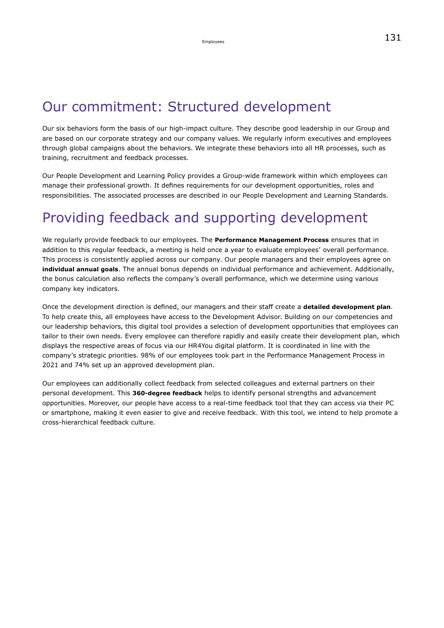### Our commitment: Structured development

Our six behaviors form the basis of our high-impact culture. They describe good leadership in our Group and are based on our corporate strategy and our company values. We regularly inform executives and employees through global campaigns about the behaviors. We integrate these behaviors into all HR processes, such as training, recruitment and feedback processes.

Our People Development and Learning Policy provides a Group-wide framework within which employees can manage their professional growth. It defines requirements for our development opportunities, roles and responsibilities. The associated processes are described in our People Development and Learning Standards.

### Providing feedback and supporting development

We regularly provide feedback to our employees. The **Performance Management Process** ensures that in addition to this regular feedback, a meeting is held once a year to evaluate employees' overall performance. This process is consistently applied across our company. Our people managers and their employees agree on **individual annual goals**. The annual bonus depends on individual performance and achievement. Additionally, the bonus calculation also reflects the company's overall performance, which we determine using various company key indicators.

Once the development direction is defined, our managers and their staff create a **detailed development plan**. To help create this, all employees have access to the Development Advisor. Building on our competencies and our leadership behaviors, this digital tool provides a selection of development opportunities that employees can tailor to their own needs. Every employee can therefore rapidly and easily create their development plan, which displays the respective areas of focus via our HR4You digital platform. It is coordinated in line with the company's strategic priorities. 98% of our employees took part in the Performance Management Process in 2021 and 74% set up an approved development plan.

Our employees can additionally collect feedback from selected colleagues and external partners on their personal development. This **360-degree feedback** helps to identify personal strengths and advancement opportunities. Moreover, our people have access to a real-time feedback tool that they can access via their PC or smartphone, making it even easier to give and receive feedback. With this tool, we intend to help promote a cross-hierarchical feedback culture.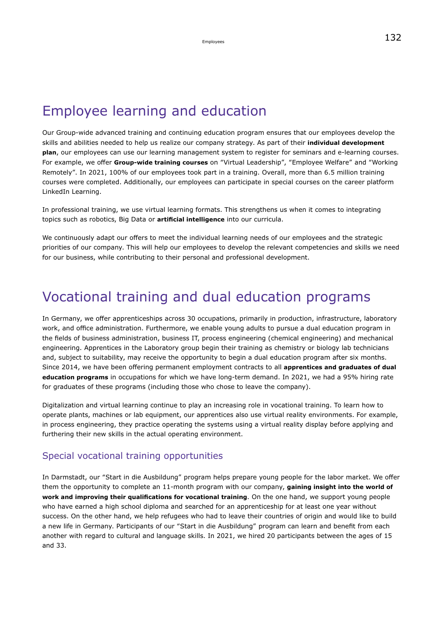### Employee learning and education

Our Group-wide advanced training and continuing education program ensures that our employees develop the skills and abilities needed to help us realize our company strategy. As part of their **individual development plan**, our employees can use our learning management system to register for seminars and e-learning courses. For example, we offer **Group-wide training courses** on "Virtual Leadership", "Employee Welfare" and "Working Remotely". In 2021, 100% of our employees took part in a training. Overall, more than 6.5 million training courses were completed. Additionally, our employees can participate in special courses on the career platform LinkedIn Learning.

In professional training, we use virtual learning formats. This strengthens us when it comes to integrating topics such as robotics, Big Data or **artificial intelligence** into our curricula.

We continuously adapt our offers to meet the individual learning needs of our employees and the strategic priorities of our company. This will help our employees to develop the relevant competencies and skills we need for our business, while contributing to their personal and professional development.

### Vocational training and dual education programs

In Germany, we offer apprenticeships across 30 occupations, primarily in production, infrastructure, laboratory work, and office administration. Furthermore, we enable young adults to pursue a dual education program in the fields of business administration, business IT, process engineering (chemical engineering) and mechanical engineering. Apprentices in the Laboratory group begin their training as chemistry or biology lab technicians and, subject to suitability, may receive the opportunity to begin a dual education program after six months. Since 2014, we have been offering permanent employment contracts to all **apprentices and graduates of dual education programs** in occupations for which we have long-term demand. In 2021, we had a 95% hiring rate for graduates of these programs (including those who chose to leave the company).

Digitalization and virtual learning continue to play an increasing role in vocational training. To learn how to operate plants, machines or lab equipment, our apprentices also use virtual reality environments. For example, in process engineering, they practice operating the systems using a virtual reality display before applying and furthering their new skills in the actual operating environment.

#### Special vocational training opportunities

In Darmstadt, our "Start in die Ausbildung" program helps prepare young people for the labor market. We offer them the opportunity to complete an 11-month program with our company, **gaining insight into the world of work and improving their qualifications for vocational training**. On the one hand, we support young people who have earned a high school diploma and searched for an apprenticeship for at least one year without success. On the other hand, we help refugees who had to leave their countries of origin and would like to build a new life in Germany. Participants of our "Start in die Ausbildung" program can learn and benefit from each another with regard to cultural and language skills. In 2021, we hired 20 participants between the ages of 15 and 33.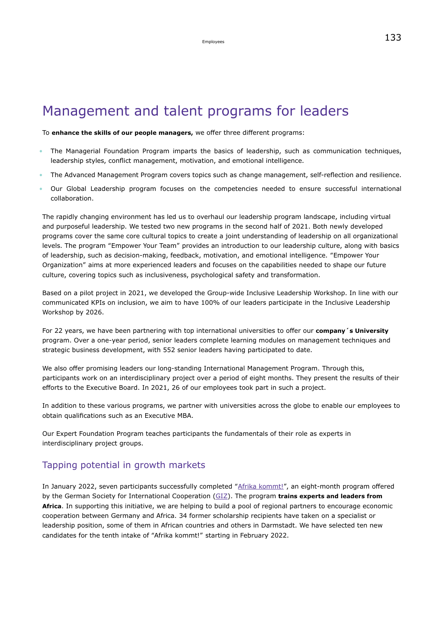### Management and talent programs for leaders

To **enhance the skills of our people managers,** we offer three different programs:

- The Managerial Foundation Program imparts the basics of leadership, such as communication techniques, leadership styles, conflict management, motivation, and emotional intelligence.
- The Advanced Management Program covers topics such as change management, self-reflection and resilience.
- Our Global Leadership program focuses on the competencies needed to ensure successful international collaboration.

The rapidly changing environment has led us to overhaul our leadership program landscape, including virtual and purposeful leadership. We tested two new programs in the second half of 2021. Both newly developed programs cover the same core cultural topics to create a joint understanding of leadership on all organizational levels. The program "Empower Your Team" provides an introduction to our leadership culture, along with basics of leadership, such as decision-making, feedback, motivation, and emotional intelligence. "Empower Your Organization" aims at more experienced leaders and focuses on the capabilities needed to shape our future culture, covering topics such as inclusiveness, psychological safety and transformation.

Based on a pilot project in 2021, we developed the Group-wide Inclusive Leadership Workshop. In line with our communicated KPIs on inclusion, we aim to have 100% of our leaders participate in the Inclusive Leadership Workshop by 2026.

For 22 years, we have been partnering with top international universities to offer our **company´s University** program. Over a one-year period, senior leaders complete learning modules on management techniques and strategic business development, with 552 senior leaders having participated to date.

We also offer promising leaders our long-standing International Management Program. Through this, participants work on an interdisciplinary project over a period of eight months. They present the results of their efforts to the Executive Board. In 2021, 26 of our employees took part in such a project.

In addition to these various programs, we partner with universities across the globe to enable our employees to obtain qualifications such as an Executive MBA.

Our Expert Foundation Program teaches participants the fundamentals of their role as experts in interdisciplinary project groups.

#### Tapping potential in growth markets

In January 2022, seven participants successfully completed ["Afrika kommt!](https://afrika-kommt.de/)", an eight-month program offered by the German Society for International Cooperation [\(GIZ](https://www.giz.de/en/html/index.html)). The program **trains experts and leaders from Africa**. In supporting this initiative, we are helping to build a pool of regional partners to encourage economic cooperation between Germany and Africa. 34 former scholarship recipients have taken on a specialist or leadership position, some of them in African countries and others in Darmstadt. We have selected ten new candidates for the tenth intake of "Afrika kommt!" starting in February 2022.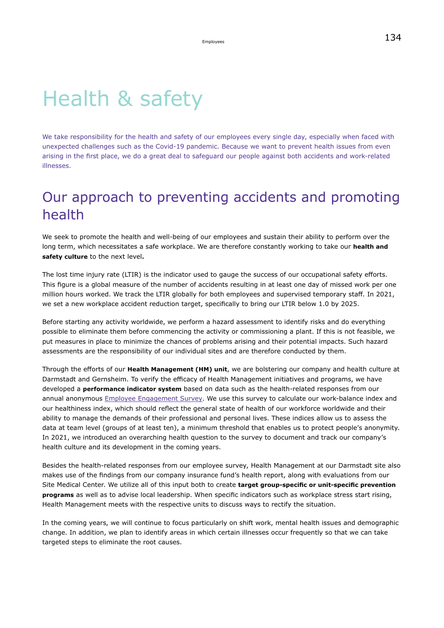## Health & safety

We take responsibility for the health and safety of our employees every single day, especially when faced with unexpected challenges such as the Covid-19 pandemic. Because we want to prevent health issues from even arising in the first place, we do a great deal to safeguard our people against both accidents and work-related illnesses.

### Our approach to preventing accidents and promoting health

We seek to promote the health and well-being of our employees and sustain their ability to perform over the long term, which necessitates a safe workplace. We are therefore constantly working to take our **health and safety culture** to the next level**.**

The lost time injury rate (LTIR) is the indicator used to gauge the success of our occupational safety efforts. This figure is a global measure of the number of accidents resulting in at least one day of missed work per one million hours worked. We track the LTIR globally for both employees and supervised temporary staff. In 2021, we set a new workplace accident reduction target, specifically to bring our LTIR below 1.0 by 2025.

Before starting any activity worldwide, we perform a hazard assessment to identify risks and do everything possible to eliminate them before commencing the activity or commissioning a plant. If this is not feasible, we put measures in place to minimize the chances of problems arising and their potential impacts. Such hazard assessments are the responsibility of our individual sites and are therefore conducted by them.

Through the efforts of our **Health Management (HM) unit**, we are bolstering our company and health culture at Darmstadt and Gernsheim. To verify the efficacy of Health Management initiatives and programs, we have developed a **performance indicator system** based on data such as the health-related responses from our annual anonymous [Employee Engagement Survey](#page-116-0). We use this survey to calculate our work-balance index and our healthiness index, which should reflect the general state of health of our workforce worldwide and their ability to manage the demands of their professional and personal lives. These indices allow us to assess the data at team level (groups of at least ten), a minimum threshold that enables us to protect people's anonymity. In 2021, we introduced an overarching health question to the survey to document and track our company's health culture and its development in the coming years.

Besides the health-related responses from our employee survey, Health Management at our Darmstadt site also makes use of the findings from our company insurance fund's health report, along with evaluations from our Site Medical Center. We utilize all of this input both to create **target group-specific or unit-specific prevention programs** as well as to advise local leadership. When specific indicators such as workplace stress start rising, Health Management meets with the respective units to discuss ways to rectify the situation.

In the coming years, we will continue to focus particularly on shift work, mental health issues and demographic change. In addition, we plan to identify areas in which certain illnesses occur frequently so that we can take targeted steps to eliminate the root causes.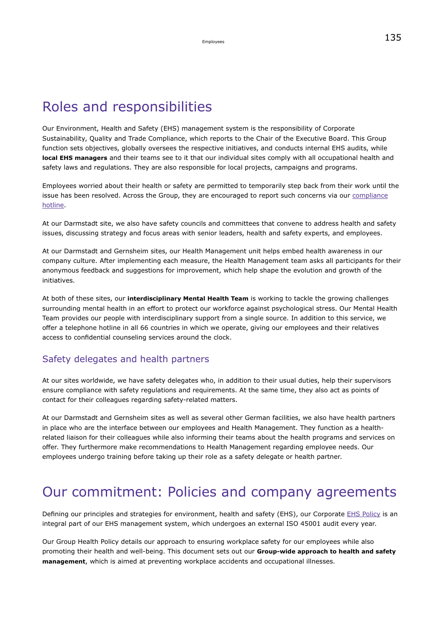### Roles and responsibilities

Our Environment, Health and Safety (EHS) management system is the responsibility of Corporate Sustainability, Quality and Trade Compliance, which reports to the Chair of the Executive Board. This Group function sets objectives, globally oversees the respective initiatives, and conducts internal EHS audits, while **local EHS managers** and their teams see to it that our individual sites comply with all occupational health and safety laws and regulations. They are also responsible for local projects, campaigns and programs.

Employees worried about their health or safety are permitted to temporarily step back from their work until the issue has been resolved. Across the Group, they are encouraged to report such concerns via our [compliance](#page-31-0) [hotline.](#page-31-0)

At our Darmstadt site, we also have safety councils and committees that convene to address health and safety issues, discussing strategy and focus areas with senior leaders, health and safety experts, and employees.

At our Darmstadt and Gernsheim sites, our Health Management unit helps embed health awareness in our company culture. After implementing each measure, the Health Management team asks all participants for their anonymous feedback and suggestions for improvement, which help shape the evolution and growth of the initiatives.

At both of these sites, our **interdisciplinary Mental Health Team** is working to tackle the growing challenges surrounding mental health in an effort to protect our workforce against psychological stress. Our Mental Health Team provides our people with interdisciplinary support from a single source. In addition to this service, we offer a telephone hotline in all 66 countries in which we operate, giving our employees and their relatives access to confidential counseling services around the clock.

#### Safety delegates and health partners

At our sites worldwide, we have safety delegates who, in addition to their usual duties, help their supervisors ensure compliance with safety regulations and requirements. At the same time, they also act as points of contact for their colleagues regarding safety-related matters.

At our Darmstadt and Gernsheim sites as well as several other German facilities, we also have health partners in place who are the interface between our employees and Health Management. They function as a healthrelated liaison for their colleagues while also informing their teams about the health programs and services on offer. They furthermore make recommendations to Health Management regarding employee needs. Our employees undergo training before taking up their role as a safety delegate or health partner.

### Our commitment: Policies and company agreements

Defining our principles and strategies for environment, health and safety (EHS), our Corporate [EHS Policy](https://www.emdgroup.com/content/dam/web/corporate/non-images/company/responsibility/us/EMD_EHS-Policy_US.pdf) is an integral part of our EHS management system, which undergoes an external ISO 45001 audit every year.

Our Group Health Policy details our approach to ensuring workplace safety for our employees while also promoting their health and well-being. This document sets out our **Group-wide approach to health and safety management**, which is aimed at preventing workplace accidents and occupational illnesses.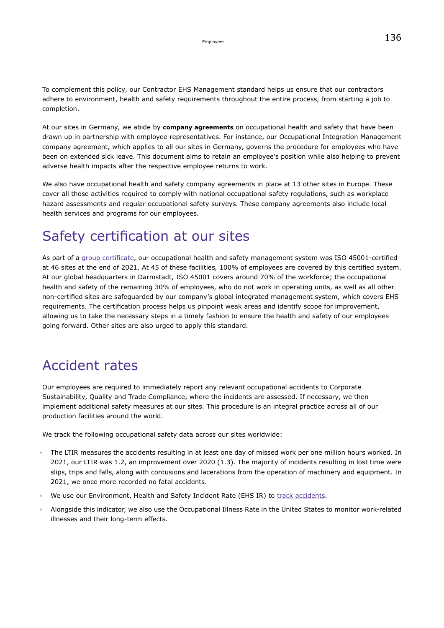To complement this policy, our Contractor EHS Management standard helps us ensure that our contractors adhere to environment, health and safety requirements throughout the entire process, from starting a job to completion.

At our sites in Germany, we abide by **company agreements** on occupational health and safety that have been drawn up in partnership with employee representatives. For instance, our Occupational Integration Management company agreement, which applies to all our sites in Germany, governs the procedure for employees who have been on extended sick leave. This document aims to retain an employee's position while also helping to prevent adverse health impacts after the respective employee returns to work.

We also have occupational health and safety company agreements in place at 13 other sites in Europe. These cover all those activities required to comply with national occupational safety regulations, such as workplace hazard assessments and regular occupational safety surveys. These company agreements also include local health services and programs for our employees.

### Safety certification at our sites

As part of a [group certificate](https://www.emdgroup.com/content/dam/web/corporate/non-images/company/responsibility/en/regulations-and-guidelines/Certificate_ISO_DQS_45001.pdf), our occupational health and safety management system was ISO 45001-certified at 46 sites at the end of 2021. At 45 of these facilities, 100% of employees are covered by this certified system. At our global headquarters in Darmstadt, ISO 45001 covers around 70% of the workforce; the occupational health and safety of the remaining 30% of employees, who do not work in operating units, as well as all other non-certified sites are safeguarded by our company's global integrated management system, which covers EHS requirements. The certification process helps us pinpoint weak areas and identify scope for improvement, allowing us to take the necessary steps in a timely fashion to ensure the health and safety of our employees going forward. Other sites are also urged to apply this standard.

### Accident rates

Our employees are required to immediately report any relevant occupational accidents to Corporate Sustainability, Quality and Trade Compliance, where the incidents are assessed. If necessary, we then implement additional safety measures at our sites. This procedure is an integral practice across all of our production facilities around the world.

We track the following occupational safety data across our sites worldwide:

- The LTIR measures the accidents resulting in at least one day of missed work per one million hours worked. In 2021, our LTIR was 1.2, an improvement over 2020 (1.3). The majority of incidents resulting in lost time were slips, trips and falls, along with contusions and lacerations from the operation of machinery and equipment. In 2021, we once more recorded no fatal accidents.
- We use our Environment, Health and Safety Incident Rate (EHS IR) to [track accidents.](#page-155-0)
- Alongside this indicator, we also use the Occupational Illness Rate in the United States to monitor work-related illnesses and their long-term effects.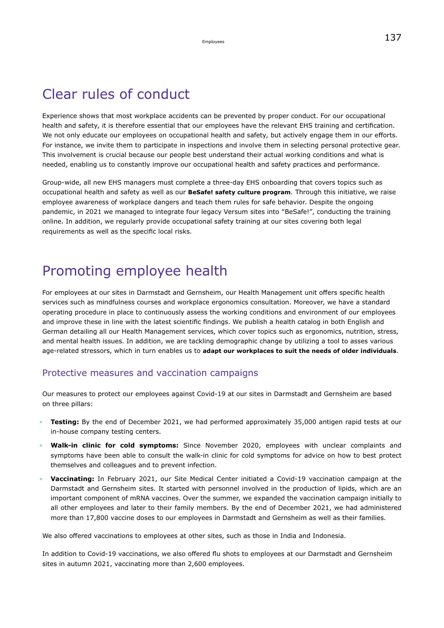### Clear rules of conduct

Experience shows that most workplace accidents can be prevented by proper conduct. For our occupational health and safety, it is therefore essential that our employees have the relevant EHS training and certification. We not only educate our employees on occupational health and safety, but actively engage them in our efforts. For instance, we invite them to participate in inspections and involve them in selecting personal protective gear. This involvement is crucial because our people best understand their actual working conditions and what is needed, enabling us to constantly improve our occupational health and safety practices and performance.

Group-wide, all new EHS managers must complete a three-day EHS onboarding that covers topics such as occupational health and safety as well as our **BeSafe! safety culture program**. Through this initiative, we raise employee awareness of workplace dangers and teach them rules for safe behavior. Despite the ongoing pandemic, in 2021 we managed to integrate four legacy Versum sites into "BeSafe!", conducting the training online. In addition, we regularly provide occupational safety training at our sites covering both legal requirements as well as the specific local risks.

### Promoting employee health

For employees at our sites in Darmstadt and Gernsheim, our Health Management unit offers specific health services such as mindfulness courses and workplace ergonomics consultation. Moreover, we have a standard operating procedure in place to continuously assess the working conditions and environment of our employees and improve these in line with the latest scientific findings. We publish a health catalog in both English and German detailing all our Health Management services, which cover topics such as ergonomics, nutrition, stress, and mental health issues. In addition, we are tackling demographic change by utilizing a tool to asses various age-related stressors, which in turn enables us to **adapt our workplaces to suit the needs of older individuals**.

#### Protective measures and vaccination campaigns

Our measures to protect our employees against Covid-19 at our sites in Darmstadt and Gernsheim are based on three pillars:

- **Testing:** By the end of December 2021, we had performed approximately 35,000 antigen rapid tests at our in-house company testing centers.
- **Walk-in clinic for cold symptoms:** Since November 2020, employees with unclear complaints and symptoms have been able to consult the walk-in clinic for cold symptoms for advice on how to best protect themselves and colleagues and to prevent infection.
- **Vaccinating:** In February 2021, our Site Medical Center initiated a Covid-19 vaccination campaign at the Darmstadt and Gernsheim sites. It started with personnel involved in the production of lipids, which are an important component of mRNA vaccines. Over the summer, we expanded the vaccination campaign initially to all other employees and later to their family members. By the end of December 2021, we had administered more than 17,800 vaccine doses to our employees in Darmstadt and Gernsheim as well as their families.

We also offered vaccinations to employees at other sites, such as those in India and Indonesia.

In addition to Covid-19 vaccinations, we also offered flu shots to employees at our Darmstadt and Gernsheim sites in autumn 2021, vaccinating more than 2,600 employees.